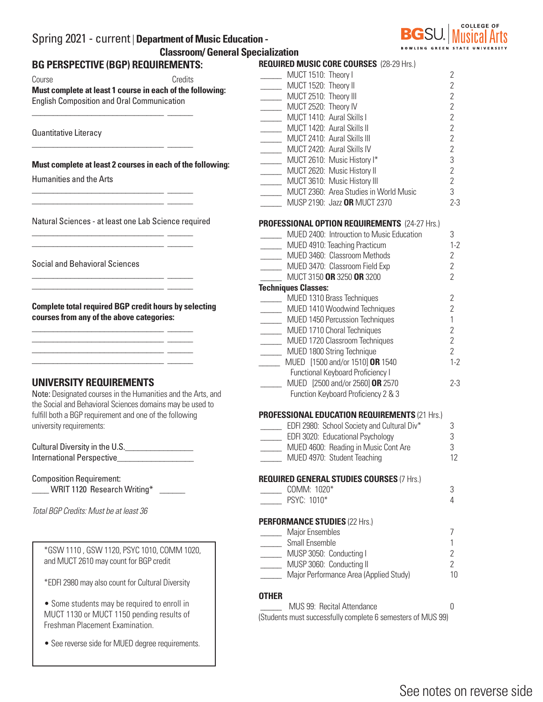| Spring 2021 - current   Department of Music Education - |                 |
|---------------------------------------------------------|-----------------|
| <b>Classroom/ General Specialization</b>                |                 |
| BA BEBAREATH IE IBARL BEALURELLEITA                     | <b>BEAUDERS</b> |

# **BG PERSPE**

| BG PERSPECTIVE (BGP) REQUIREMENTS:                                                                                    |                   | KEQUIKED N                                  |
|-----------------------------------------------------------------------------------------------------------------------|-------------------|---------------------------------------------|
| Course                                                                                                                | Credits           | $\frac{1}{\sqrt{1-\frac{1}{2}}}\text{ MUC}$ |
| Must complete at least 1 course in each of the following:                                                             |                   | $\frac{1}{\sqrt{1-\frac{1}{2}}}\text{ MUC}$ |
| <b>English Composition and Oral Communication</b>                                                                     |                   | $\frac{1}{2}$ MUC                           |
|                                                                                                                       |                   | $\frac{1}{2}$ MUC                           |
|                                                                                                                       |                   | $\frac{1}{2}$ MUC                           |
|                                                                                                                       |                   | $\frac{1}{2}$ MUC                           |
| Quantitative Literacy                                                                                                 | $\frac{1}{2}$ MUC |                                             |
|                                                                                                                       |                   | $\frac{1}{2}$ MUC                           |
| Must complete at least 2 courses in each of the following:                                                            |                   | $\frac{1}{2}$ MUC                           |
|                                                                                                                       |                   | $\frac{1}{2}$ MUC                           |
| Humanities and the Arts                                                                                               |                   | $\frac{1}{\sqrt{1-\frac{1}{2}}}\text{ MUC}$ |
| <u> 1989 - Jan Sterling von Berling von Berling von Berling von Berling von Berling von Berling von Berling von B</u> |                   | $\frac{1}{2}$ MUC                           |
| <u> 1988 - Jan Barbara, martxa al II-lea (h. 1988).</u>                                                               |                   | MUS                                         |
|                                                                                                                       |                   |                                             |
| Natural Sciences - at least one Lab Science required                                                                  | <b>PROFESSION</b> |                                             |
|                                                                                                                       |                   | MUE                                         |
| <u> 1999 - Jan James James Barbara, politik eta idazlea (h. 1989).</u>                                                |                   | MUE                                         |
|                                                                                                                       |                   | MUE                                         |
| <b>Social and Behavioral Sciences</b>                                                                                 |                   | MUE                                         |
| <u> 1989 - Jan Sterlinger, skriuwer fan de Amerikaanske komme fan de Amerikaanske komme fan de Amerikaanske komme</u> |                   | $\frac{1}{2}$ MUC                           |
| <u> 1999 - Jan James James Barbara, politik eta idazlea (h. 1918).</u>                                                |                   | <b>Techniques</b>                           |
|                                                                                                                       |                   | MUE                                         |
| <b>Complete total required BGP credit hours by selecting</b>                                                          |                   | MUE                                         |
| courses from any of the above categories:                                                                             |                   | <b>MUE</b>                                  |
|                                                                                                                       |                   | <b>MUE</b>                                  |
| <u> 1989 - Jan James James Barnett, martin basar basalan dan basar basal dan basar basal dan basar basal dan basa</u> |                   | <b>MUE</b>                                  |
| <u> 1988 - Jan Stein Stein, fransk politik (f. 1988)</u>                                                              |                   | <b>MUE</b>                                  |
| <u> 1988 - Jan Barbara, martxa al II-lea (b. 1988)</u>                                                                |                   | MUE                                         |
|                                                                                                                       |                   | Fun                                         |
| UNIVERSITY REQUIREMENTS                                                                                               |                   | MUE                                         |
| Note: Designated courses in the Humanities and the Arts, and                                                          |                   | Fun                                         |
| the Social and Behavioral Sciences domains may be used to                                                             |                   |                                             |
| fulfill both a BGP requirement and one of the following                                                               |                   | <b>PROFESSION</b>                           |
| university requirements:                                                                                              |                   | $\rule{1em}{0.15mm}$ EDFI                   |
|                                                                                                                       |                   | EDFI                                        |
| Cultural Diversity in the U.S.                                                                                        |                   | MUE                                         |
| <b>International Perspective</b>                                                                                      |                   | MUE                                         |
|                                                                                                                       |                   |                                             |
| <b>Composition Requirement:</b>                                                                                       |                   | <b>REQUIRED G</b>                           |
| WRIT 1120 Research Writing*                                                                                           |                   | CON                                         |
|                                                                                                                       |                   | PSY <sub>(</sub>                            |
| Total BGP Credits: Must be at least 36                                                                                |                   |                                             |
|                                                                                                                       |                   | <b>PERFORMAN</b>                            |
|                                                                                                                       |                   | Majo                                        |
| *GSW 1110, GSW 1120, PSYC 1010, COMM 1020,                                                                            |                   | Sma                                         |
|                                                                                                                       |                   | <b>MUS</b>                                  |
| and MUCT 2610 may count for BGP credit                                                                                |                   | MUS                                         |
|                                                                                                                       |                   | Majo                                        |
| *EDFI 2980 may also count for Cultural Diversity                                                                      |                   |                                             |
|                                                                                                                       |                   | <b>OTHER</b>                                |
| • Some students may be required to enroll in                                                                          |                   | MU:                                         |
| MUCT 1130 or MUCT 1150 pending results of<br>Freshman Placement Examination.                                          |                   | (Students mus                               |

• See reverse side for MUED degree requirements.

| <b>REQUIRED MUSIC CORE COURSES (28-29 Hrs.)</b>             |                |
|-------------------------------------------------------------|----------------|
| MUCT 1510: Theory I                                         | $\overline{2}$ |
| MUCT 1520: Theory II                                        | $\overline{2}$ |
| MUCT 2510: Theory III<br>$\frac{1}{1}$                      | $\overline{2}$ |
| MUCT 2520: Theory IV                                        | $\overline{2}$ |
| MUCT 1410: Aural Skills I                                   | $\overline{2}$ |
| MUCT 1420: Aural Skills II                                  | $\overline{2}$ |
| MUCT 2410: Aural Skills III                                 | $\overline{2}$ |
| MUCT 2420: Aural Skills IV                                  | $\overline{2}$ |
| MUCT 2610: Music History I*                                 | 3              |
| MUCT 2620: Music History II                                 | $\overline{2}$ |
| MUCT 3610: Music History III                                | $\overline{2}$ |
| MUCT 2360: Area Studies in World Music                      | 3              |
| MUSP 2190: Jazz OR MUCT 2370                                | $2-3$          |
| <b>PROFESSIONAL OPTION REQUIREMENTS (24-27 Hrs.)</b>        |                |
| MUED 2400: Introuction to Music Education                   | 3              |
| MUED 4910: Teaching Practicum                               | $1 - 2$        |
| MUED 3460: Classroom Methods                                | $\overline{2}$ |
| MUED 3470: Classroom Field Exp                              | $\overline{2}$ |
| MUCT 3150 OR 3250 OR 3200                                   | $\overline{2}$ |
| <b>Techniques Classes:</b>                                  |                |
| MUED 1310 Brass Techniques<br>$\frac{1}{1}$                 | $\overline{2}$ |
| MUED 1410 Woodwind Techniques                               | $\overline{2}$ |
| <b>MUED 1450 Percussion Techniques</b>                      | $\mathbf{1}$   |
| MUED 1710 Choral Techniques                                 | $\overline{2}$ |
| MUED 1720 Classroom Techniques                              | $\overline{2}$ |
| MUED 1800 String Technique                                  | $\overline{2}$ |
| MUED [1500 and/or 1510] OR 1540                             | $1 - 2$        |
| <b>Functional Keyboard Proficiency I</b>                    |                |
| MUED [2500 and/or 2560] OR 2570                             | $2 - 3$        |
| Function Keyboard Proficiency 2 & 3                         |                |
| <b>PROFESSIONAL EDUCATION REQUIREMENTS (21 Hrs.)</b>        |                |
| EDFI 2980: School Society and Cultural Div*                 | 3              |
| EDFI 3020: Educational Psychology                           | 3              |
| MUED 4600: Reading in Music Cont Are                        | 3              |
| MUED 4970: Student Teaching                                 | 12             |
| <b>REQUIRED GENERAL STUDIES COURSES (7 Hrs.)</b>            |                |
| COMM: 1020*                                                 | 3              |
| PSYC: 1010*                                                 | 4              |
| <b>PERFORMANCE STUDIES (22 Hrs.)</b>                        |                |
| Major Ensembles                                             | 7              |
| Small Ensemble                                              | 1              |
| MUSP 3050: Conducting I                                     | $\overline{2}$ |
| MUSP 3060: Conducting II                                    | 2              |
| Major Performance Area (Applied Study)                      | 10             |
| <b>OTHER</b>                                                |                |
| MUS 99: Recital Attendance                                  | 0              |
| (Students must successfully complete 6 semesters of MUS 99) |                |